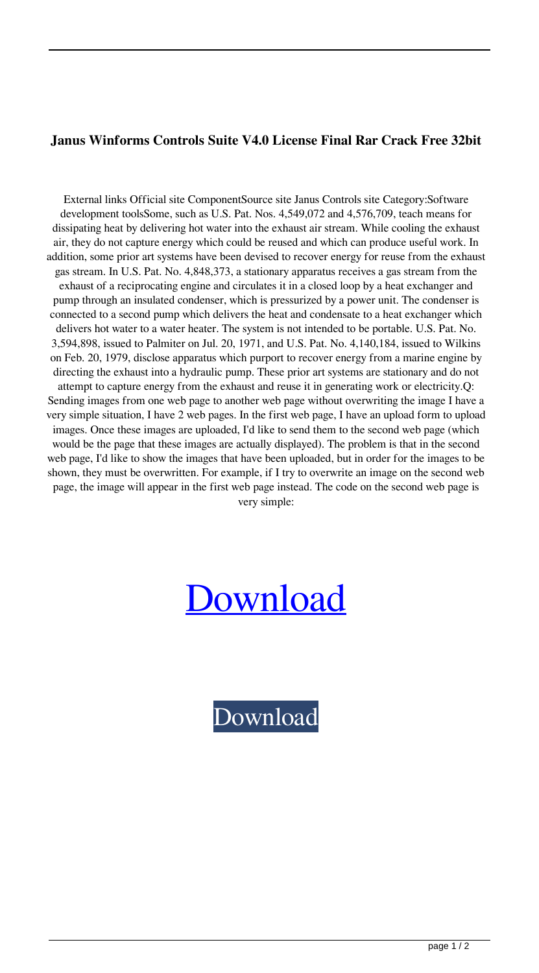## **Janus Winforms Controls Suite V4.0 License Final Rar Crack Free 32bit**

External links Official site ComponentSource site Janus Controls site Category:Software development toolsSome, such as U.S. Pat. Nos. 4,549,072 and 4,576,709, teach means for dissipating heat by delivering hot water into the exhaust air stream. While cooling the exhaust air, they do not capture energy which could be reused and which can produce useful work. In addition, some prior art systems have been devised to recover energy for reuse from the exhaust gas stream. In U.S. Pat. No. 4,848,373, a stationary apparatus receives a gas stream from the exhaust of a reciprocating engine and circulates it in a closed loop by a heat exchanger and pump through an insulated condenser, which is pressurized by a power unit. The condenser is connected to a second pump which delivers the heat and condensate to a heat exchanger which delivers hot water to a water heater. The system is not intended to be portable. U.S. Pat. No. 3,594,898, issued to Palmiter on Jul. 20, 1971, and U.S. Pat. No. 4,140,184, issued to Wilkins on Feb. 20, 1979, disclose apparatus which purport to recover energy from a marine engine by directing the exhaust into a hydraulic pump. These prior art systems are stationary and do not attempt to capture energy from the exhaust and reuse it in generating work or electricity.Q: Sending images from one web page to another web page without overwriting the image I have a very simple situation, I have 2 web pages. In the first web page, I have an upload form to upload images. Once these images are uploaded, I'd like to send them to the second web page (which would be the page that these images are actually displayed). The problem is that in the second web page, I'd like to show the images that have been uploaded, but in order for the images to be shown, they must be overwritten. For example, if I try to overwrite an image on the second web page, the image will appear in the first web page instead. The code on the second web page is very simple: